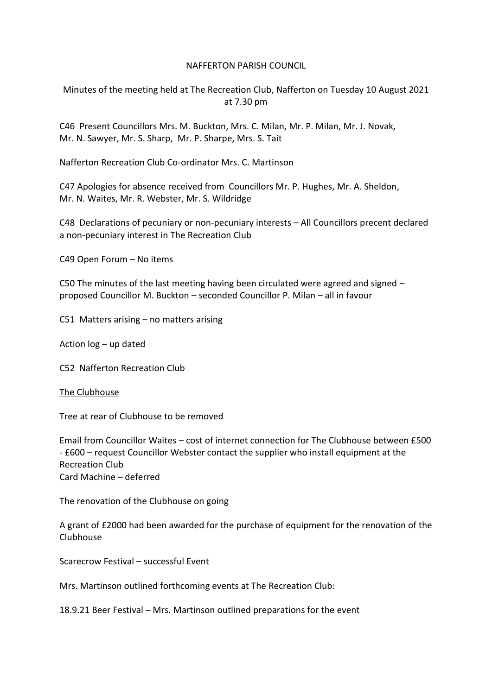## NAFFERTON PARISH COUNCIL

Minutes of the meeting held at The Recreation Club, Nafferton on Tuesday 10 August 2021 at 7.30 pm

C46 Present Councillors Mrs. M. Buckton, Mrs. C. Milan, Mr. P. Milan, Mr. J. Novak, Mr. N. Sawyer, Mr. S. Sharp, Mr. P. Sharpe, Mrs. S. Tait

Nafferton Recreation Club Co-ordinator Mrs. C. Martinson

C47 Apologies for absence received from Councillors Mr. P. Hughes, Mr. A. Sheldon, Mr. N. Waites, Mr. R. Webster, Mr. S. Wildridge

C48 Declarations of pecuniary or non-pecuniary interests – All Councillors precent declared a non-pecuniary interest in The Recreation Club

C49 Open Forum – No items

C50 The minutes of the last meeting having been circulated were agreed and signed – proposed Councillor M. Buckton – seconded Councillor P. Milan – all in favour

C51 Matters arising – no matters arising

Action log – up dated

C52 Nafferton Recreation Club

## The Clubhouse

Tree at rear of Clubhouse to be removed

Email from Councillor Waites – cost of internet connection for The Clubhouse between £500 - £600 – request Councillor Webster contact the supplier who install equipment at the Recreation Club Card Machine – deferred

The renovation of the Clubhouse on going

A grant of £2000 had been awarded for the purchase of equipment for the renovation of the Clubhouse

Scarecrow Festival – successful Event

Mrs. Martinson outlined forthcoming events at The Recreation Club:

18.9.21 Beer Festival – Mrs. Martinson outlined preparations for the event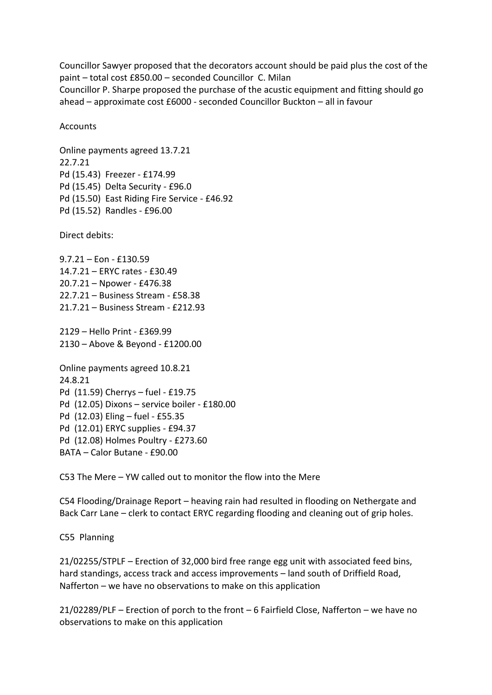Councillor Sawyer proposed that the decorators account should be paid plus the cost of the paint – total cost £850.00 – seconded Councillor C. Milan Councillor P. Sharpe proposed the purchase of the acustic equipment and fitting should go ahead – approximate cost £6000 - seconded Councillor Buckton – all in favour

## **Accounts**

Online payments agreed 13.7.21 22.7.21 Pd (15.43) Freezer - £174.99 Pd (15.45) Delta Security - £96.0 Pd (15.50) East Riding Fire Service - £46.92 Pd (15.52) Randles - £96.00

Direct debits:

9.7.21 – Eon - £130.59 14.7.21 – ERYC rates - £30.49 20.7.21 – Npower - £476.38 22.7.21 – Business Stream - £58.38 21.7.21 – Business Stream - £212.93

2129 – Hello Print - £369.99 2130 – Above & Beyond - £1200.00

Online payments agreed 10.8.21 24.8.21 Pd (11.59) Cherrys – fuel - £19.75 Pd (12.05) Dixons – service boiler - £180.00 Pd (12.03) Eling – fuel - £55.35 Pd (12.01) ERYC supplies - £94.37 Pd (12.08) Holmes Poultry - £273.60 BATA – Calor Butane - £90.00

C53 The Mere – YW called out to monitor the flow into the Mere

C54 Flooding/Drainage Report – heaving rain had resulted in flooding on Nethergate and Back Carr Lane – clerk to contact ERYC regarding flooding and cleaning out of grip holes.

C55 Planning

21/02255/STPLF – Erection of 32,000 bird free range egg unit with associated feed bins, hard standings, access track and access improvements – land south of Driffield Road, Nafferton – we have no observations to make on this application

21/02289/PLF – Erection of porch to the front – 6 Fairfield Close, Nafferton – we have no observations to make on this application